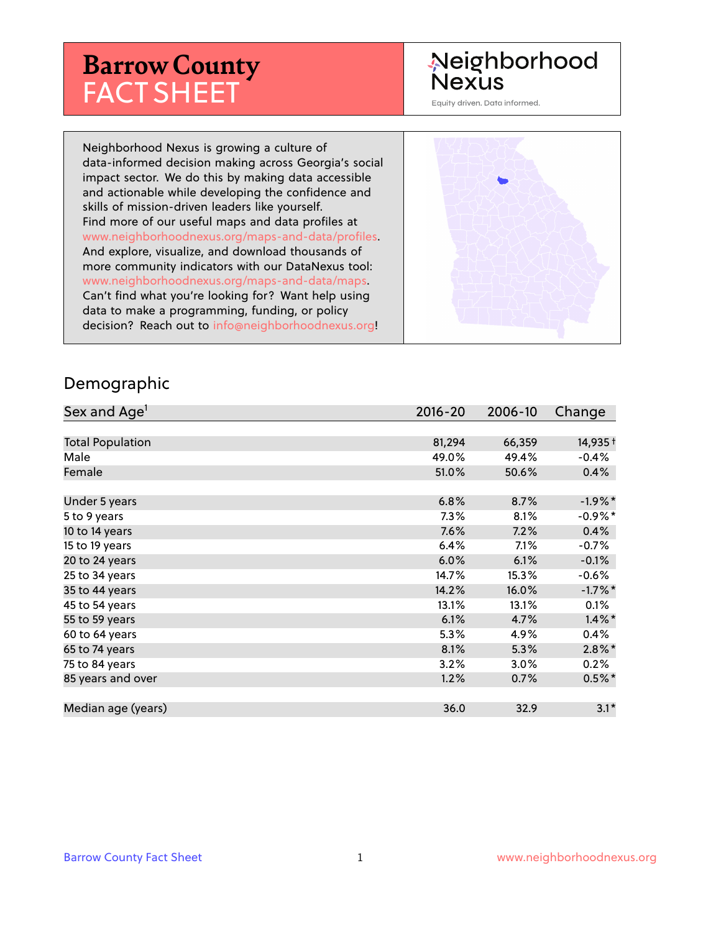# **Barrow County** FACT SHEET

# Neighborhood **Nexus**

Equity driven. Data informed.

Neighborhood Nexus is growing a culture of data-informed decision making across Georgia's social impact sector. We do this by making data accessible and actionable while developing the confidence and skills of mission-driven leaders like yourself. Find more of our useful maps and data profiles at www.neighborhoodnexus.org/maps-and-data/profiles. And explore, visualize, and download thousands of more community indicators with our DataNexus tool: www.neighborhoodnexus.org/maps-and-data/maps. Can't find what you're looking for? Want help using data to make a programming, funding, or policy decision? Reach out to [info@neighborhoodnexus.org!](mailto:info@neighborhoodnexus.org)



### Demographic

| Sex and Age <sup>1</sup> | $2016 - 20$ | 2006-10 | Change               |
|--------------------------|-------------|---------|----------------------|
|                          |             |         |                      |
| <b>Total Population</b>  | 81,294      | 66,359  | 14,935+              |
| Male                     | 49.0%       | 49.4%   | $-0.4%$              |
| Female                   | 51.0%       | 50.6%   | 0.4%                 |
|                          |             |         |                      |
| Under 5 years            | 6.8%        | 8.7%    | $-1.9%$ *            |
| 5 to 9 years             | $7.3\%$     | 8.1%    | $-0.9%$ *            |
| 10 to 14 years           | 7.6%        | 7.2%    | 0.4%                 |
| 15 to 19 years           | 6.4%        | 7.1%    | $-0.7%$              |
| 20 to 24 years           | 6.0%        | 6.1%    | $-0.1%$              |
| 25 to 34 years           | 14.7%       | 15.3%   | $-0.6%$              |
| 35 to 44 years           | 14.2%       | 16.0%   | $-1.7\%$ *           |
| 45 to 54 years           | 13.1%       | 13.1%   | 0.1%                 |
| 55 to 59 years           | 6.1%        | 4.7%    | $1.4\%$ *            |
| 60 to 64 years           | 5.3%        | 4.9%    | 0.4%                 |
| 65 to 74 years           | 8.1%        | 5.3%    | $2.8\%$ <sup>*</sup> |
| 75 to 84 years           | 3.2%        | 3.0%    | 0.2%                 |
| 85 years and over        | 1.2%        | 0.7%    | $0.5\%$ *            |
|                          |             |         |                      |
| Median age (years)       | 36.0        | 32.9    | $3.1*$               |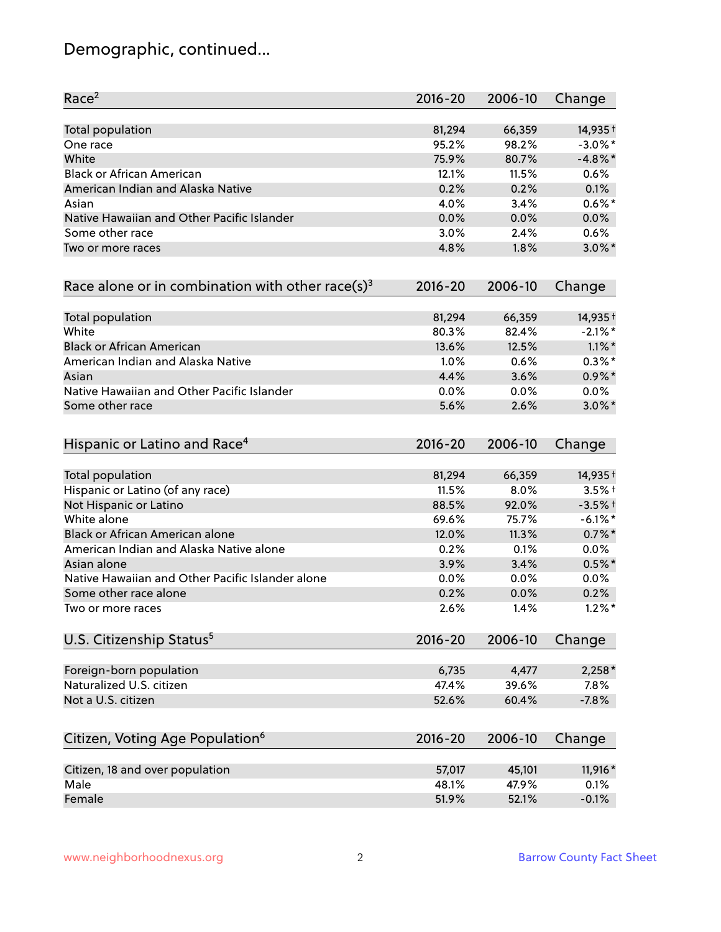# Demographic, continued...

| Race <sup>2</sup>                                            | $2016 - 20$ | 2006-10 | Change     |
|--------------------------------------------------------------|-------------|---------|------------|
| <b>Total population</b>                                      | 81,294      | 66,359  | 14,935 +   |
| One race                                                     | 95.2%       | 98.2%   | $-3.0\%$ * |
| White                                                        | 75.9%       | 80.7%   | $-4.8\%$ * |
| <b>Black or African American</b>                             | 12.1%       | 11.5%   | 0.6%       |
| American Indian and Alaska Native                            | 0.2%        | 0.2%    | 0.1%       |
| Asian                                                        | 4.0%        | 3.4%    | $0.6\%$ *  |
| Native Hawaiian and Other Pacific Islander                   | 0.0%        | 0.0%    | 0.0%       |
| Some other race                                              | 3.0%        | 2.4%    | 0.6%       |
| Two or more races                                            | 4.8%        | 1.8%    | $3.0\%$ *  |
| Race alone or in combination with other race(s) <sup>3</sup> | $2016 - 20$ | 2006-10 | Change     |
| Total population                                             | 81,294      | 66,359  | 14,935 +   |
| White                                                        | 80.3%       | 82.4%   | $-2.1\%$ * |
| <b>Black or African American</b>                             | 13.6%       | 12.5%   | $1.1\%$ *  |
| American Indian and Alaska Native                            | 1.0%        | 0.6%    | $0.3\%$ *  |
| Asian                                                        | 4.4%        | 3.6%    | $0.9\%$ *  |
| Native Hawaiian and Other Pacific Islander                   | 0.0%        | 0.0%    | 0.0%       |
| Some other race                                              | 5.6%        | 2.6%    | $3.0\%$ *  |
| Hispanic or Latino and Race <sup>4</sup>                     | $2016 - 20$ | 2006-10 | Change     |
| <b>Total population</b>                                      | 81,294      | 66,359  | 14,935 +   |
| Hispanic or Latino (of any race)                             | 11.5%       | 8.0%    | $3.5%$ +   |
| Not Hispanic or Latino                                       | 88.5%       | 92.0%   | $-3.5%$ +  |
| White alone                                                  | 69.6%       | 75.7%   | $-6.1\%$ * |
| Black or African American alone                              | 12.0%       | 11.3%   | $0.7\%$ *  |
| American Indian and Alaska Native alone                      | 0.2%        | 0.1%    | 0.0%       |
| Asian alone                                                  | 3.9%        | 3.4%    | $0.5%$ *   |
| Native Hawaiian and Other Pacific Islander alone             | 0.0%        | $0.0\%$ | 0.0%       |
| Some other race alone                                        | 0.2%        | 0.0%    | 0.2%       |
| Two or more races                                            | 2.6%        | 1.4%    | $1.2\%$ *  |
| U.S. Citizenship Status <sup>5</sup>                         | $2016 - 20$ | 2006-10 | Change     |
| Foreign-born population                                      | 6,735       | 4,477   | $2,258*$   |
| Naturalized U.S. citizen                                     | 47.4%       | 39.6%   | 7.8%       |
| Not a U.S. citizen                                           | 52.6%       | 60.4%   | $-7.8%$    |
| Citizen, Voting Age Population <sup>6</sup>                  | $2016 - 20$ | 2006-10 | Change     |
|                                                              |             |         |            |
| Citizen, 18 and over population                              | 57,017      | 45,101  | 11,916*    |
| Male                                                         | 48.1%       | 47.9%   | 0.1%       |
| Female                                                       | 51.9%       | 52.1%   | $-0.1%$    |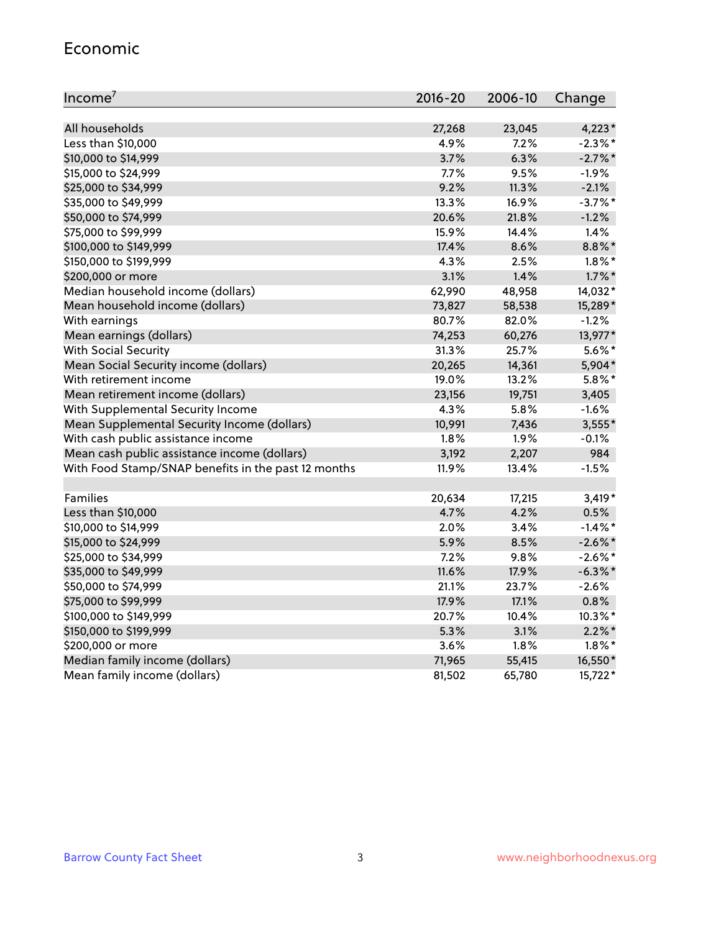#### Economic

| Income <sup>7</sup>                                 | $2016 - 20$ | 2006-10 | Change     |
|-----------------------------------------------------|-------------|---------|------------|
|                                                     |             |         |            |
| All households                                      | 27,268      | 23,045  | $4,223*$   |
| Less than \$10,000                                  | 4.9%        | 7.2%    | $-2.3\%$ * |
| \$10,000 to \$14,999                                | 3.7%        | 6.3%    | $-2.7\%$ * |
| \$15,000 to \$24,999                                | 7.7%        | 9.5%    | $-1.9%$    |
| \$25,000 to \$34,999                                | 9.2%        | 11.3%   | $-2.1%$    |
| \$35,000 to \$49,999                                | 13.3%       | 16.9%   | $-3.7\%$ * |
| \$50,000 to \$74,999                                | 20.6%       | 21.8%   | $-1.2%$    |
| \$75,000 to \$99,999                                | 15.9%       | 14.4%   | 1.4%       |
| \$100,000 to \$149,999                              | 17.4%       | 8.6%    | 8.8%*      |
| \$150,000 to \$199,999                              | 4.3%        | 2.5%    | $1.8\%$ *  |
| \$200,000 or more                                   | 3.1%        | 1.4%    | $1.7\%$ *  |
| Median household income (dollars)                   | 62,990      | 48,958  | 14,032*    |
| Mean household income (dollars)                     | 73,827      | 58,538  | 15,289*    |
| With earnings                                       | 80.7%       | 82.0%   | $-1.2%$    |
| Mean earnings (dollars)                             | 74,253      | 60,276  | 13,977*    |
| <b>With Social Security</b>                         | 31.3%       | 25.7%   | $5.6\%$ *  |
| Mean Social Security income (dollars)               | 20,265      | 14,361  | 5,904*     |
| With retirement income                              | 19.0%       | 13.2%   | $5.8\%$ *  |
| Mean retirement income (dollars)                    | 23,156      | 19,751  | 3,405      |
| With Supplemental Security Income                   | 4.3%        | 5.8%    | $-1.6%$    |
| Mean Supplemental Security Income (dollars)         | 10,991      | 7,436   | $3,555*$   |
| With cash public assistance income                  | 1.8%        | 1.9%    | $-0.1%$    |
| Mean cash public assistance income (dollars)        | 3,192       | 2,207   | 984        |
| With Food Stamp/SNAP benefits in the past 12 months | 11.9%       | 13.4%   | $-1.5%$    |
|                                                     |             |         |            |
| Families                                            | 20,634      | 17,215  | $3,419*$   |
| Less than \$10,000                                  | 4.7%        | 4.2%    | 0.5%       |
| \$10,000 to \$14,999                                | 2.0%        | 3.4%    | $-1.4\%$ * |
| \$15,000 to \$24,999                                | 5.9%        | 8.5%    | $-2.6\%$ * |
| \$25,000 to \$34,999                                | 7.2%        | 9.8%    | $-2.6\%$ * |
| \$35,000 to \$49,999                                | 11.6%       | 17.9%   | $-6.3\%$ * |
| \$50,000 to \$74,999                                | 21.1%       | 23.7%   | $-2.6%$    |
| \$75,000 to \$99,999                                | 17.9%       | 17.1%   | 0.8%       |
| \$100,000 to \$149,999                              | 20.7%       | 10.4%   | 10.3%*     |
| \$150,000 to \$199,999                              | 5.3%        | 3.1%    | $2.2\%$ *  |
| \$200,000 or more                                   | 3.6%        | 1.8%    | $1.8\%$ *  |
| Median family income (dollars)                      | 71,965      | 55,415  | 16,550*    |
| Mean family income (dollars)                        | 81,502      | 65,780  | 15,722*    |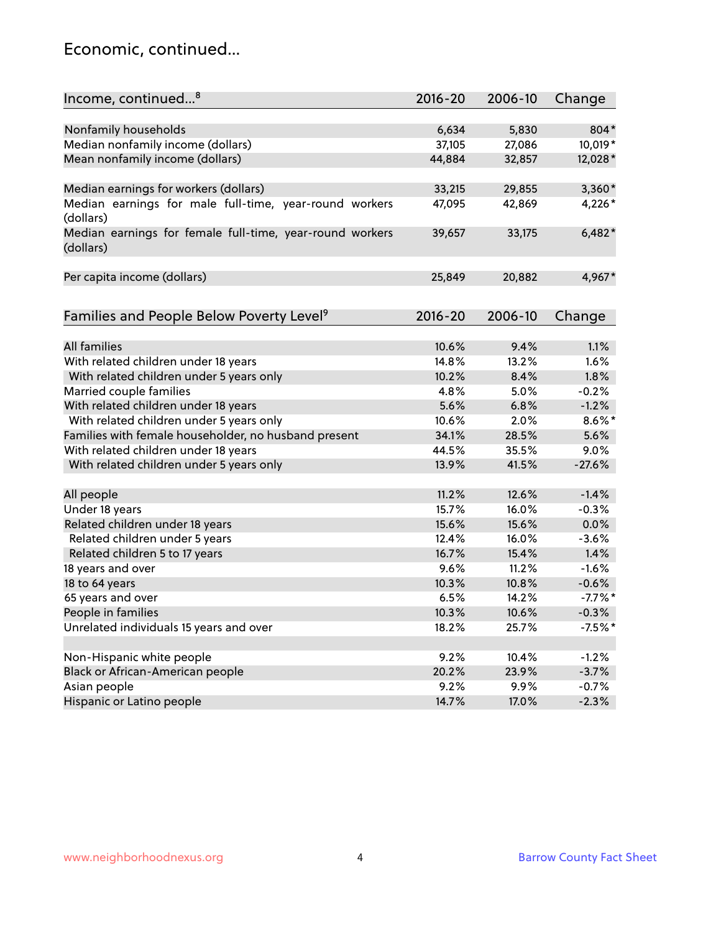## Economic, continued...

| Income, continued <sup>8</sup>                                        | $2016 - 20$ | 2006-10 | Change     |
|-----------------------------------------------------------------------|-------------|---------|------------|
|                                                                       |             |         |            |
| Nonfamily households                                                  | 6,634       | 5,830   | 804*       |
| Median nonfamily income (dollars)                                     | 37,105      | 27,086  | 10,019*    |
| Mean nonfamily income (dollars)                                       | 44,884      | 32,857  | 12,028*    |
| Median earnings for workers (dollars)                                 | 33,215      | 29,855  | 3,360*     |
| Median earnings for male full-time, year-round workers<br>(dollars)   | 47,095      | 42,869  | 4,226*     |
| Median earnings for female full-time, year-round workers<br>(dollars) | 39,657      | 33,175  | $6,482*$   |
| Per capita income (dollars)                                           | 25,849      | 20,882  | 4,967*     |
|                                                                       |             |         |            |
| Families and People Below Poverty Level <sup>9</sup>                  | $2016 - 20$ | 2006-10 | Change     |
| <b>All families</b>                                                   | 10.6%       | 9.4%    | 1.1%       |
| With related children under 18 years                                  | 14.8%       | 13.2%   | 1.6%       |
| With related children under 5 years only                              | 10.2%       | 8.4%    | 1.8%       |
| Married couple families                                               | 4.8%        | 5.0%    | $-0.2%$    |
| With related children under 18 years                                  | 5.6%        | 6.8%    | $-1.2%$    |
| With related children under 5 years only                              | 10.6%       | 2.0%    | $8.6\%$ *  |
| Families with female householder, no husband present                  | 34.1%       | 28.5%   | 5.6%       |
| With related children under 18 years                                  | 44.5%       | 35.5%   | 9.0%       |
| With related children under 5 years only                              | 13.9%       | 41.5%   | $-27.6%$   |
|                                                                       |             |         |            |
| All people                                                            | 11.2%       | 12.6%   | $-1.4%$    |
| Under 18 years                                                        | 15.7%       | 16.0%   | $-0.3%$    |
| Related children under 18 years                                       | 15.6%       | 15.6%   | 0.0%       |
| Related children under 5 years                                        | 12.4%       | 16.0%   | $-3.6%$    |
| Related children 5 to 17 years                                        | 16.7%       | 15.4%   | 1.4%       |
| 18 years and over                                                     | 9.6%        | 11.2%   | $-1.6%$    |
| 18 to 64 years                                                        | 10.3%       | 10.8%   | $-0.6%$    |
| 65 years and over                                                     | 6.5%        | 14.2%   | $-7.7\%$ * |
| People in families                                                    | 10.3%       | 10.6%   | $-0.3%$    |
| Unrelated individuals 15 years and over                               | 18.2%       | 25.7%   | $-7.5%$ *  |
|                                                                       |             |         |            |
| Non-Hispanic white people                                             | 9.2%        | 10.4%   | $-1.2%$    |
| Black or African-American people                                      | 20.2%       | 23.9%   | $-3.7%$    |
| Asian people                                                          | 9.2%        | 9.9%    | $-0.7%$    |
| Hispanic or Latino people                                             | 14.7%       | 17.0%   | $-2.3%$    |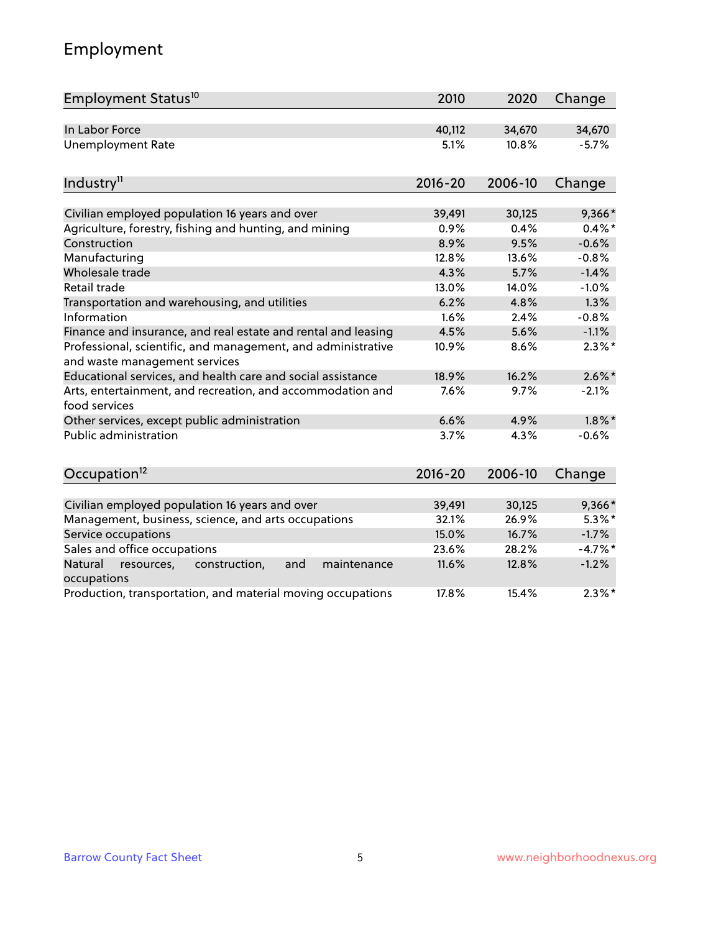# Employment

| Employment Status <sup>10</sup>                                                               | 2010        | 2020    | Change    |
|-----------------------------------------------------------------------------------------------|-------------|---------|-----------|
| In Labor Force                                                                                | 40,112      | 34,670  | 34,670    |
| <b>Unemployment Rate</b>                                                                      | 5.1%        | 10.8%   | $-5.7%$   |
| Industry <sup>11</sup>                                                                        | $2016 - 20$ | 2006-10 | Change    |
| Civilian employed population 16 years and over                                                | 39,491      | 30,125  | 9,366*    |
| Agriculture, forestry, fishing and hunting, and mining                                        | 0.9%        | 0.4%    | $0.4\%$ * |
| Construction                                                                                  | 8.9%        | 9.5%    | $-0.6%$   |
| Manufacturing                                                                                 | 12.8%       | 13.6%   | $-0.8%$   |
| Wholesale trade                                                                               | 4.3%        | 5.7%    | $-1.4%$   |
| Retail trade                                                                                  | 13.0%       | 14.0%   | $-1.0%$   |
| Transportation and warehousing, and utilities                                                 | 6.2%        | 4.8%    | 1.3%      |
| Information                                                                                   | 1.6%        | 2.4%    | $-0.8%$   |
| Finance and insurance, and real estate and rental and leasing                                 | 4.5%        | 5.6%    | $-1.1%$   |
| Professional, scientific, and management, and administrative<br>and waste management services | 10.9%       | 8.6%    | $2.3\%$ * |
| Educational services, and health care and social assistance                                   | 18.9%       | 16.2%   | $2.6\%$ * |
| Arts, entertainment, and recreation, and accommodation and<br>food services                   | 7.6%        | 9.7%    | $-2.1%$   |
| Other services, except public administration                                                  | 6.6%        | 4.9%    | $1.8\%$ * |
| <b>Public administration</b>                                                                  | 3.7%        | 4.3%    | $-0.6%$   |
| Occupation <sup>12</sup>                                                                      | $2016 - 20$ | 2006-10 | Change    |
| Civilian employed population 16 years and over                                                | 39,491      | 30,125  | 9,366*    |
| Management, business, science, and arts occupations                                           | 32.1%       | 26.9%   | $5.3\%$ * |
| Service occupations                                                                           | 15.0%       | 16.7%   | $-1.7%$   |
| Sales and office occupations                                                                  | 23.6%       | 28.2%   | $-4.7%$ * |
| Natural<br>resources,<br>construction,<br>and<br>maintenance<br>occupations                   | 11.6%       | 12.8%   | $-1.2%$   |
| Production, transportation, and material moving occupations                                   | 17.8%       | 15.4%   | $2.3\%$ * |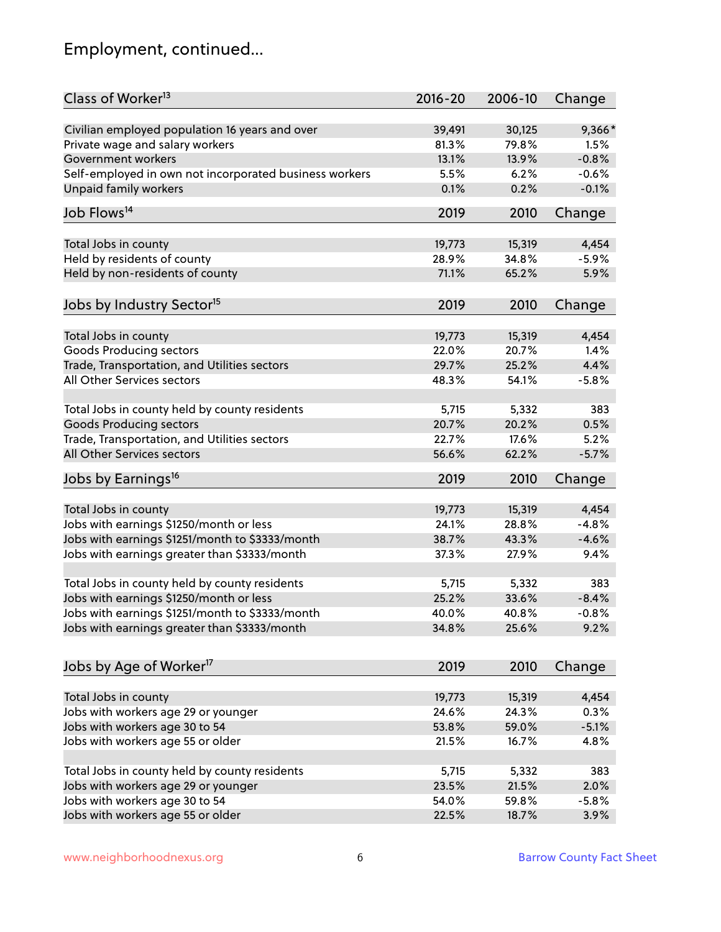# Employment, continued...

| Class of Worker <sup>13</sup>                          | $2016 - 20$ | 2006-10 | Change  |
|--------------------------------------------------------|-------------|---------|---------|
| Civilian employed population 16 years and over         | 39,491      | 30,125  | 9,366*  |
| Private wage and salary workers                        | 81.3%       | 79.8%   | 1.5%    |
| Government workers                                     | 13.1%       | 13.9%   | $-0.8%$ |
| Self-employed in own not incorporated business workers | 5.5%        | 6.2%    | $-0.6%$ |
| <b>Unpaid family workers</b>                           | 0.1%        | 0.2%    | $-0.1%$ |
|                                                        |             |         |         |
| Job Flows <sup>14</sup>                                | 2019        | 2010    | Change  |
| Total Jobs in county                                   | 19,773      | 15,319  | 4,454   |
| Held by residents of county                            | 28.9%       | 34.8%   | $-5.9%$ |
| Held by non-residents of county                        | 71.1%       | 65.2%   | 5.9%    |
|                                                        |             |         |         |
| Jobs by Industry Sector <sup>15</sup>                  | 2019        | 2010    | Change  |
| Total Jobs in county                                   | 19,773      | 15,319  | 4,454   |
| Goods Producing sectors                                | 22.0%       | 20.7%   | 1.4%    |
| Trade, Transportation, and Utilities sectors           | 29.7%       | 25.2%   | 4.4%    |
| All Other Services sectors                             | 48.3%       | 54.1%   | $-5.8%$ |
|                                                        |             |         |         |
| Total Jobs in county held by county residents          | 5,715       | 5,332   | 383     |
| <b>Goods Producing sectors</b>                         | 20.7%       | 20.2%   | 0.5%    |
| Trade, Transportation, and Utilities sectors           | 22.7%       | 17.6%   | 5.2%    |
| All Other Services sectors                             | 56.6%       | 62.2%   | $-5.7%$ |
| Jobs by Earnings <sup>16</sup>                         | 2019        | 2010    | Change  |
|                                                        |             |         |         |
| Total Jobs in county                                   | 19,773      | 15,319  | 4,454   |
| Jobs with earnings \$1250/month or less                | 24.1%       | 28.8%   | $-4.8%$ |
| Jobs with earnings \$1251/month to \$3333/month        | 38.7%       | 43.3%   | $-4.6%$ |
| Jobs with earnings greater than \$3333/month           | 37.3%       | 27.9%   | 9.4%    |
| Total Jobs in county held by county residents          | 5,715       | 5,332   | 383     |
| Jobs with earnings \$1250/month or less                | 25.2%       | 33.6%   | $-8.4%$ |
| Jobs with earnings \$1251/month to \$3333/month        | 40.0%       | 40.8%   | -0.8%   |
| Jobs with earnings greater than \$3333/month           | 34.8%       | 25.6%   | 9.2%    |
|                                                        |             |         |         |
| Jobs by Age of Worker <sup>17</sup>                    | 2019        | 2010    | Change  |
| Total Jobs in county                                   | 19,773      | 15,319  | 4,454   |
| Jobs with workers age 29 or younger                    | 24.6%       | 24.3%   | 0.3%    |
| Jobs with workers age 30 to 54                         | 53.8%       | 59.0%   | $-5.1%$ |
| Jobs with workers age 55 or older                      | 21.5%       | 16.7%   | 4.8%    |
|                                                        |             |         |         |
| Total Jobs in county held by county residents          | 5,715       | 5,332   | 383     |
| Jobs with workers age 29 or younger                    | 23.5%       | 21.5%   | 2.0%    |
| Jobs with workers age 30 to 54                         | 54.0%       | 59.8%   | $-5.8%$ |
| Jobs with workers age 55 or older                      | 22.5%       | 18.7%   | 3.9%    |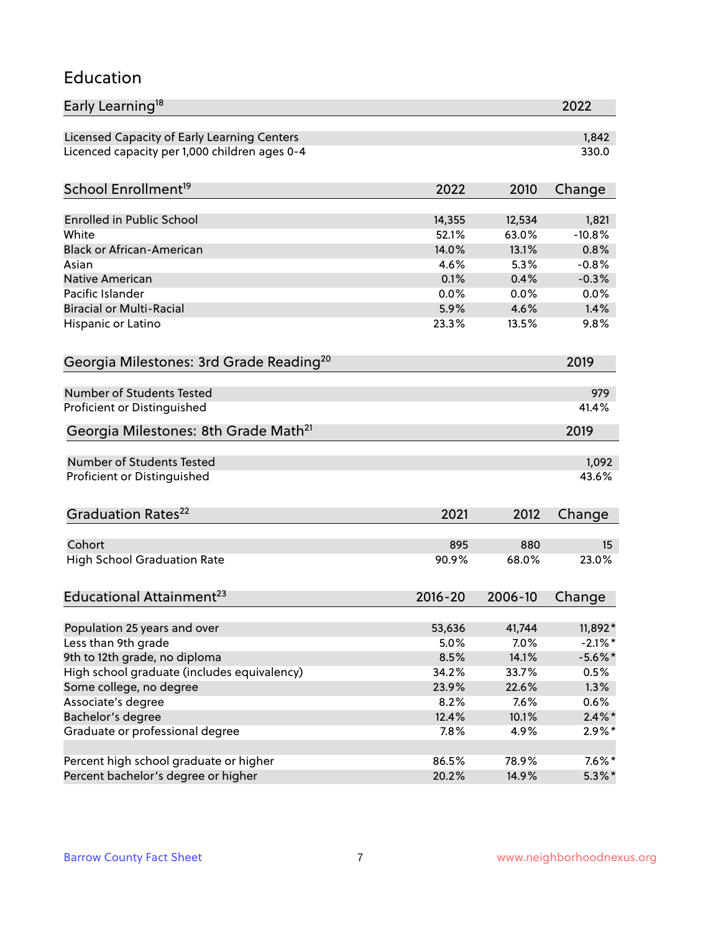#### Education

| Early Learning <sup>18</sup>                        |             |         | 2022       |
|-----------------------------------------------------|-------------|---------|------------|
| Licensed Capacity of Early Learning Centers         |             |         | 1,842      |
| Licenced capacity per 1,000 children ages 0-4       |             |         | 330.0      |
| School Enrollment <sup>19</sup>                     | 2022        | 2010    | Change     |
|                                                     |             |         |            |
| <b>Enrolled in Public School</b>                    | 14,355      | 12,534  | 1,821      |
| White                                               | 52.1%       | 63.0%   | $-10.8%$   |
| <b>Black or African-American</b>                    | 14.0%       | 13.1%   | 0.8%       |
| Asian                                               | 4.6%        | 5.3%    | $-0.8%$    |
| Native American                                     | 0.1%        | 0.4%    | $-0.3%$    |
| Pacific Islander                                    | 0.0%        | 0.0%    | 0.0%       |
| <b>Biracial or Multi-Racial</b>                     | 5.9%        | 4.6%    | 1.4%       |
| Hispanic or Latino                                  | 23.3%       | 13.5%   | 9.8%       |
| Georgia Milestones: 3rd Grade Reading <sup>20</sup> |             |         | 2019       |
|                                                     |             |         |            |
| Number of Students Tested                           |             |         | 979        |
| Proficient or Distinguished                         |             |         | 41.4%      |
| Georgia Milestones: 8th Grade Math <sup>21</sup>    |             |         | 2019       |
| Number of Students Tested                           |             |         | 1,092      |
| Proficient or Distinguished                         |             |         | 43.6%      |
|                                                     |             |         |            |
| Graduation Rates <sup>22</sup>                      | 2021        | 2012    | Change     |
| Cohort                                              | 895         | 880     | 15         |
| <b>High School Graduation Rate</b>                  | 90.9%       | 68.0%   | 23.0%      |
|                                                     |             |         |            |
| Educational Attainment <sup>23</sup>                | $2016 - 20$ | 2006-10 | Change     |
| Population 25 years and over                        | 53,636      | 41,744  | 11,892*    |
| Less than 9th grade                                 | 5.0%        | 7.0%    | $-2.1\%$ * |
| 9th to 12th grade, no diploma                       | 8.5%        | 14.1%   | $-5.6\%$ * |
| High school graduate (includes equivalency)         | 34.2%       | 33.7%   | 0.5%       |
| Some college, no degree                             | 23.9%       | 22.6%   | 1.3%       |
| Associate's degree                                  | 8.2%        | 7.6%    | 0.6%       |
| Bachelor's degree                                   | 12.4%       | 10.1%   | $2.4\%$ *  |
| Graduate or professional degree                     | 7.8%        | 4.9%    | $2.9\%*$   |
|                                                     |             |         |            |
| Percent high school graduate or higher              | 86.5%       | 78.9%   | $7.6\%$ *  |
| Percent bachelor's degree or higher                 | 20.2%       | 14.9%   | $5.3\%$ *  |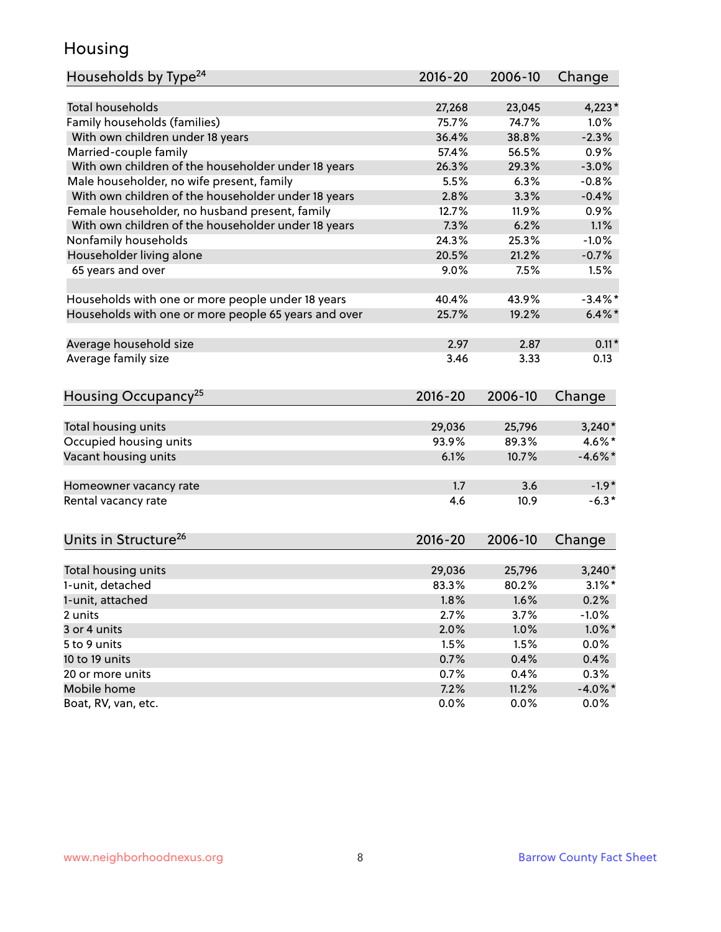## Housing

| Households by Type <sup>24</sup>                     | 2016-20     | 2006-10 | Change     |
|------------------------------------------------------|-------------|---------|------------|
|                                                      |             |         |            |
| <b>Total households</b>                              | 27,268      | 23,045  | $4,223*$   |
| Family households (families)                         | 75.7%       | 74.7%   | 1.0%       |
| With own children under 18 years                     | 36.4%       | 38.8%   | $-2.3%$    |
| Married-couple family                                | 57.4%       | 56.5%   | 0.9%       |
| With own children of the householder under 18 years  | 26.3%       | 29.3%   | $-3.0%$    |
| Male householder, no wife present, family            | 5.5%        | 6.3%    | $-0.8%$    |
| With own children of the householder under 18 years  | 2.8%        | 3.3%    | $-0.4%$    |
| Female householder, no husband present, family       | 12.7%       | 11.9%   | 0.9%       |
| With own children of the householder under 18 years  | 7.3%        | 6.2%    | 1.1%       |
| Nonfamily households                                 | 24.3%       | 25.3%   | $-1.0%$    |
| Householder living alone                             | 20.5%       | 21.2%   | $-0.7%$    |
| 65 years and over                                    | 9.0%        | 7.5%    | 1.5%       |
|                                                      |             |         |            |
| Households with one or more people under 18 years    | 40.4%       | 43.9%   | $-3.4\%$ * |
| Households with one or more people 65 years and over | 25.7%       | 19.2%   | $6.4\%$ *  |
|                                                      |             |         |            |
| Average household size                               | 2.97        | 2.87    | $0.11*$    |
| Average family size                                  | 3.46        | 3.33    | 0.13       |
| Housing Occupancy <sup>25</sup>                      | 2016-20     | 2006-10 | Change     |
|                                                      |             |         |            |
| Total housing units                                  | 29,036      | 25,796  | $3,240*$   |
| Occupied housing units                               | 93.9%       | 89.3%   | 4.6%*      |
| Vacant housing units                                 | 6.1%        | 10.7%   | $-4.6\%$ * |
| Homeowner vacancy rate                               | 1.7         | 3.6     | $-1.9*$    |
| Rental vacancy rate                                  | 4.6         | 10.9    | $-6.3*$    |
|                                                      |             |         |            |
| Units in Structure <sup>26</sup>                     | $2016 - 20$ | 2006-10 | Change     |
| Total housing units                                  | 29,036      | 25,796  | $3,240*$   |
| 1-unit, detached                                     | 83.3%       | 80.2%   | $3.1\%$ *  |
| 1-unit, attached                                     | 1.8%        | 1.6%    | 0.2%       |
| 2 units                                              | 2.7%        | 3.7%    | $-1.0%$    |
| 3 or 4 units                                         | 2.0%        | 1.0%    | $1.0\%$ *  |
| 5 to 9 units                                         | 1.5%        | 1.5%    | 0.0%       |
| 10 to 19 units                                       | 0.7%        | 0.4%    | 0.4%       |
| 20 or more units                                     | 0.7%        | 0.4%    | 0.3%       |
|                                                      |             |         |            |
| Mobile home                                          | 7.2%        | 11.2%   | $-4.0\%$ * |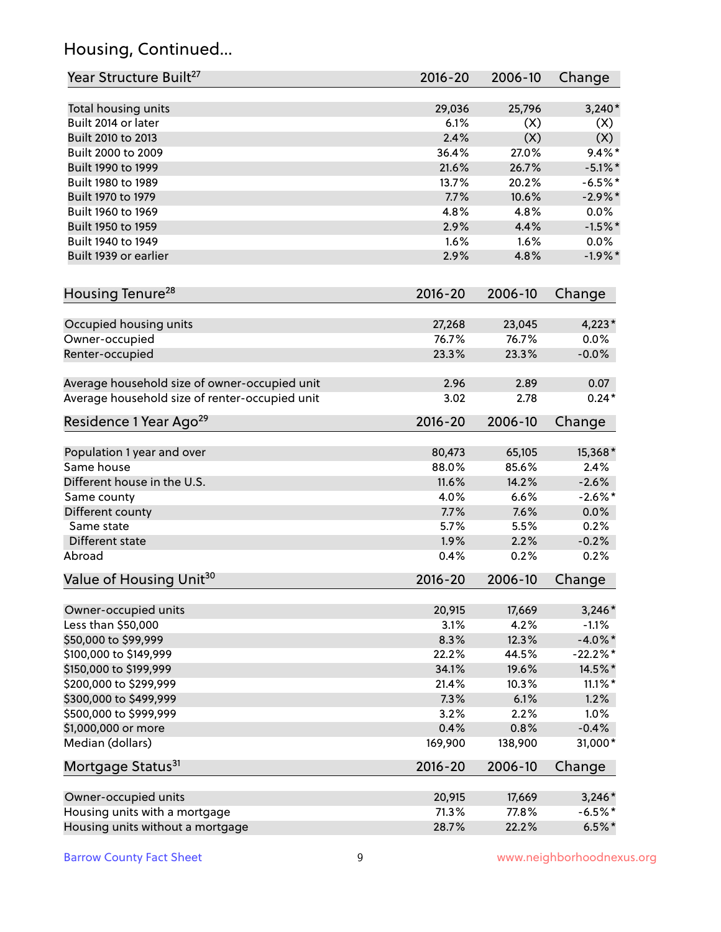# Housing, Continued...

| Year Structure Built <sup>27</sup>             | 2016-20     | 2006-10 | Change     |
|------------------------------------------------|-------------|---------|------------|
| Total housing units                            | 29,036      | 25,796  | $3,240*$   |
| Built 2014 or later                            | 6.1%        | (X)     | (X)        |
| Built 2010 to 2013                             | 2.4%        | (X)     | (X)        |
| Built 2000 to 2009                             | 36.4%       | 27.0%   | $9.4\%$ *  |
| Built 1990 to 1999                             | 21.6%       | 26.7%   | $-5.1\%$ * |
| Built 1980 to 1989                             | 13.7%       | 20.2%   | $-6.5%$ *  |
| Built 1970 to 1979                             | 7.7%        | 10.6%   | $-2.9\%$ * |
| Built 1960 to 1969                             | 4.8%        | 4.8%    | 0.0%       |
| Built 1950 to 1959                             | 2.9%        | 4.4%    | $-1.5%$ *  |
| Built 1940 to 1949                             | 1.6%        | 1.6%    | 0.0%       |
| Built 1939 or earlier                          | 2.9%        | 4.8%    | $-1.9%$ *  |
| Housing Tenure <sup>28</sup>                   | $2016 - 20$ | 2006-10 | Change     |
| Occupied housing units                         | 27,268      | 23,045  | $4,223*$   |
| Owner-occupied                                 | 76.7%       | 76.7%   | $0.0\%$    |
| Renter-occupied                                | 23.3%       | 23.3%   | $-0.0%$    |
| Average household size of owner-occupied unit  | 2.96        | 2.89    | 0.07       |
| Average household size of renter-occupied unit | 3.02        | 2.78    | $0.24*$    |
| Residence 1 Year Ago <sup>29</sup>             | 2016-20     | 2006-10 | Change     |
| Population 1 year and over                     | 80,473      | 65,105  | 15,368*    |
| Same house                                     | 88.0%       | 85.6%   | 2.4%       |
| Different house in the U.S.                    | 11.6%       | 14.2%   | $-2.6%$    |
| Same county                                    | 4.0%        | 6.6%    | $-2.6%$ *  |
| Different county                               | 7.7%        | 7.6%    | $0.0\%$    |
| Same state                                     | 5.7%        | 5.5%    | 0.2%       |
| Different state                                | 1.9%        | 2.2%    | $-0.2%$    |
| Abroad                                         | 0.4%        | 0.2%    | 0.2%       |
| Value of Housing Unit <sup>30</sup>            | $2016 - 20$ | 2006-10 | Change     |
| Owner-occupied units                           | 20,915      | 17,669  | $3,246*$   |
| Less than \$50,000                             | 3.1%        | 4.2%    | $-1.1%$    |
| \$50,000 to \$99,999                           | 8.3%        | 12.3%   | $-4.0\%$ * |
| \$100,000 to \$149,999                         | 22.2%       | 44.5%   | $-22.2%$ * |
| \$150,000 to \$199,999                         | 34.1%       | 19.6%   | 14.5%*     |
| \$200,000 to \$299,999                         | 21.4%       | 10.3%   | $11.1\%$ * |
| \$300,000 to \$499,999                         | 7.3%        | 6.1%    | 1.2%       |
| \$500,000 to \$999,999                         | 3.2%        | 2.2%    | 1.0%       |
| \$1,000,000 or more                            | 0.4%        | 0.8%    | $-0.4%$    |
| Median (dollars)                               | 169,900     | 138,900 | 31,000*    |
| Mortgage Status <sup>31</sup>                  | $2016 - 20$ | 2006-10 | Change     |
| Owner-occupied units                           | 20,915      | 17,669  | $3,246*$   |
| Housing units with a mortgage                  | 71.3%       | 77.8%   | $-6.5%$ *  |
| Housing units without a mortgage               | 28.7%       | 22.2%   | $6.5%$ *   |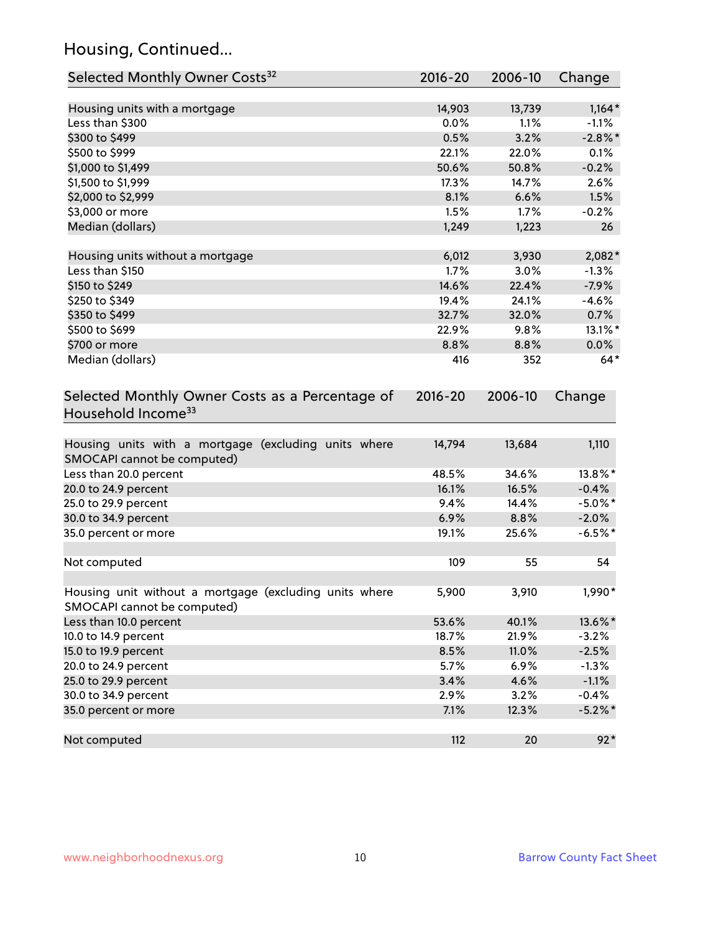# Housing, Continued...

| Selected Monthly Owner Costs <sup>32</sup>                                            | 2016-20     | 2006-10 | Change     |
|---------------------------------------------------------------------------------------|-------------|---------|------------|
| Housing units with a mortgage                                                         | 14,903      | 13,739  | $1,164*$   |
| Less than \$300                                                                       | 0.0%        | 1.1%    | $-1.1%$    |
| \$300 to \$499                                                                        | 0.5%        | 3.2%    | $-2.8\%$ * |
| \$500 to \$999                                                                        | 22.1%       | 22.0%   | 0.1%       |
| \$1,000 to \$1,499                                                                    | 50.6%       | 50.8%   | $-0.2%$    |
| \$1,500 to \$1,999                                                                    | 17.3%       | 14.7%   | 2.6%       |
| \$2,000 to \$2,999                                                                    | 8.1%        | 6.6%    | 1.5%       |
| \$3,000 or more                                                                       | 1.5%        | 1.7%    | $-0.2%$    |
| Median (dollars)                                                                      | 1,249       | 1,223   | 26         |
| Housing units without a mortgage                                                      | 6,012       | 3,930   | 2,082*     |
| Less than \$150                                                                       | 1.7%        | 3.0%    | $-1.3%$    |
| \$150 to \$249                                                                        | 14.6%       | 22.4%   | $-7.9%$    |
| \$250 to \$349                                                                        | 19.4%       | 24.1%   | $-4.6%$    |
| \$350 to \$499                                                                        | 32.7%       | 32.0%   | 0.7%       |
| \$500 to \$699                                                                        | 22.9%       | 9.8%    | 13.1%*     |
| \$700 or more                                                                         | 8.8%        | 8.8%    | 0.0%       |
| Median (dollars)                                                                      | 416         | 352     | $64*$      |
| Selected Monthly Owner Costs as a Percentage of<br>Household Income <sup>33</sup>     | $2016 - 20$ | 2006-10 | Change     |
| Housing units with a mortgage (excluding units where<br>SMOCAPI cannot be computed)   | 14,794      | 13,684  | 1,110      |
| Less than 20.0 percent                                                                | 48.5%       | 34.6%   | 13.8%*     |
| 20.0 to 24.9 percent                                                                  | 16.1%       | 16.5%   | $-0.4%$    |
| 25.0 to 29.9 percent                                                                  | 9.4%        | 14.4%   | $-5.0\%$ * |
| 30.0 to 34.9 percent                                                                  | 6.9%        | 8.8%    | $-2.0%$    |
| 35.0 percent or more                                                                  | 19.1%       | 25.6%   | $-6.5%$ *  |
| Not computed                                                                          | 109         | 55      | 54         |
| Housing unit without a mortgage (excluding units where<br>SMOCAPI cannot be computed) | 5,900       | 3,910   | 1,990*     |
| Less than 10.0 percent                                                                | 53.6%       | 40.1%   | 13.6%*     |
| 10.0 to 14.9 percent                                                                  | 18.7%       | 21.9%   | $-3.2%$    |
| 15.0 to 19.9 percent                                                                  | 8.5%        | 11.0%   | $-2.5%$    |
| 20.0 to 24.9 percent                                                                  | 5.7%        | 6.9%    | $-1.3%$    |
| 25.0 to 29.9 percent                                                                  | 3.4%        | 4.6%    | $-1.1%$    |
| 30.0 to 34.9 percent                                                                  | 2.9%        | 3.2%    | $-0.4%$    |
| 35.0 percent or more                                                                  | 7.1%        | 12.3%   | $-5.2%$ *  |
| Not computed                                                                          | 112         | 20      | $92*$      |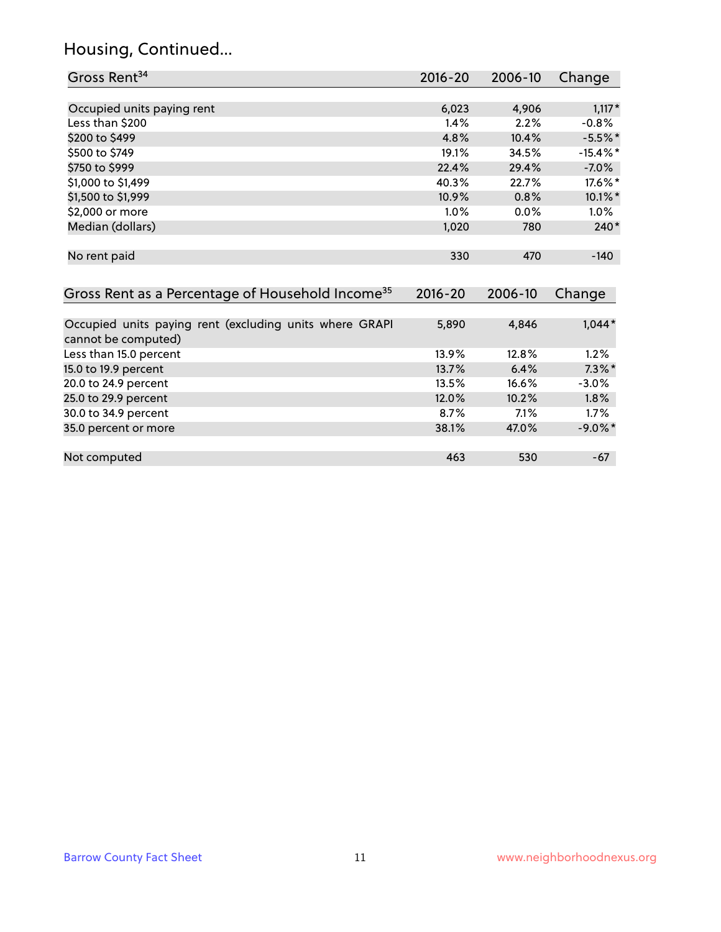# Housing, Continued...

| Gross Rent <sup>34</sup>                                                       | 2016-20     | 2006-10 | Change      |
|--------------------------------------------------------------------------------|-------------|---------|-------------|
|                                                                                |             |         |             |
| Occupied units paying rent                                                     | 6,023       | 4,906   | $1,117*$    |
| Less than \$200                                                                | 1.4%        | 2.2%    | $-0.8%$     |
| \$200 to \$499                                                                 | 4.8%        | 10.4%   | $-5.5%$ *   |
| \$500 to \$749                                                                 | 19.1%       | 34.5%   | $-15.4\%$ * |
| \$750 to \$999                                                                 | 22.4%       | 29.4%   | $-7.0%$     |
| \$1,000 to \$1,499                                                             | 40.3%       | 22.7%   | 17.6%*      |
| \$1,500 to \$1,999                                                             | 10.9%       | 0.8%    | 10.1%*      |
| \$2,000 or more                                                                | 1.0%        | 0.0%    | $1.0\%$     |
| Median (dollars)                                                               | 1,020       | 780     | $240*$      |
| No rent paid                                                                   | 330         | 470     | $-140$      |
| Gross Rent as a Percentage of Household Income <sup>35</sup>                   | $2016 - 20$ | 2006-10 | Change      |
|                                                                                |             |         |             |
| Occupied units paying rent (excluding units where GRAPI<br>cannot be computed) | 5,890       | 4,846   | $1,044*$    |
| Less than 15.0 percent                                                         | 13.9%       | 12.8%   | 1.2%        |
| 15.0 to 19.9 percent                                                           | 13.7%       | 6.4%    | $7.3\%$ *   |
| 20.0 to 24.9 percent                                                           | 13.5%       | 16.6%   | $-3.0%$     |
| 25.0 to 29.9 percent                                                           | 12.0%       | 10.2%   | 1.8%        |
| 30.0 to 34.9 percent                                                           | 8.7%        | 7.1%    | 1.7%        |
| 35.0 percent or more                                                           | 38.1%       | 47.0%   | $-9.0\%$ *  |
|                                                                                |             |         |             |
| Not computed                                                                   | 463         | 530     | $-67$       |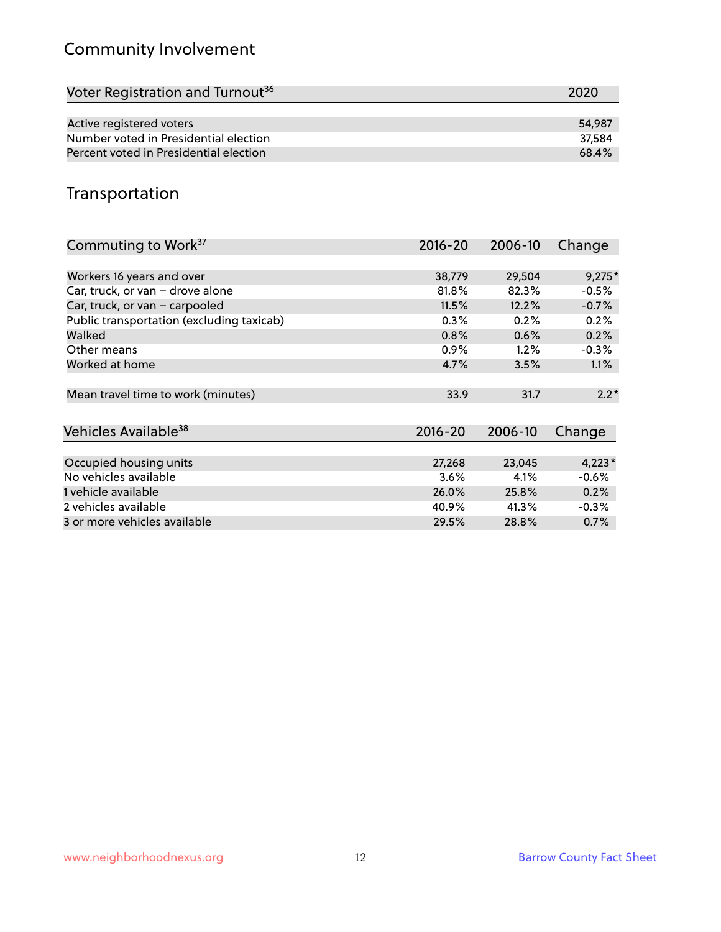# Community Involvement

| Voter Registration and Turnout <sup>36</sup> | 2020   |
|----------------------------------------------|--------|
|                                              |        |
| Active registered voters                     | 54.987 |
| Number voted in Presidential election        | 37.584 |
| Percent voted in Presidential election       | 68.4%  |

# Transportation

| Commuting to Work <sup>37</sup>           | 2016-20     | 2006-10 | Change   |
|-------------------------------------------|-------------|---------|----------|
|                                           |             |         |          |
| Workers 16 years and over                 | 38,779      | 29,504  | $9,275*$ |
| Car, truck, or van - drove alone          | 81.8%       | 82.3%   | $-0.5%$  |
| Car, truck, or van - carpooled            | 11.5%       | 12.2%   | $-0.7%$  |
| Public transportation (excluding taxicab) | 0.3%        | 0.2%    | 0.2%     |
| Walked                                    | 0.8%        | 0.6%    | 0.2%     |
| Other means                               | $0.9\%$     | $1.2\%$ | $-0.3%$  |
| Worked at home                            | 4.7%        | 3.5%    | $1.1\%$  |
|                                           |             |         |          |
| Mean travel time to work (minutes)        | 33.9        | 31.7    | $2.2*$   |
|                                           |             |         |          |
| Vehicles Available <sup>38</sup>          | $2016 - 20$ | 2006-10 | Change   |
|                                           |             |         |          |
| Occupied housing units                    | 27,268      | 23,045  | $4,223*$ |
| No vehicles available                     | 3.6%        | 4.1%    | $-0.6%$  |
| 1 vehicle available                       | 26.0%       | 25.8%   | 0.2%     |
| 2 vehicles available                      | 40.9%       | 41.3%   | $-0.3%$  |
| 3 or more vehicles available              | 29.5%       | 28.8%   | $0.7\%$  |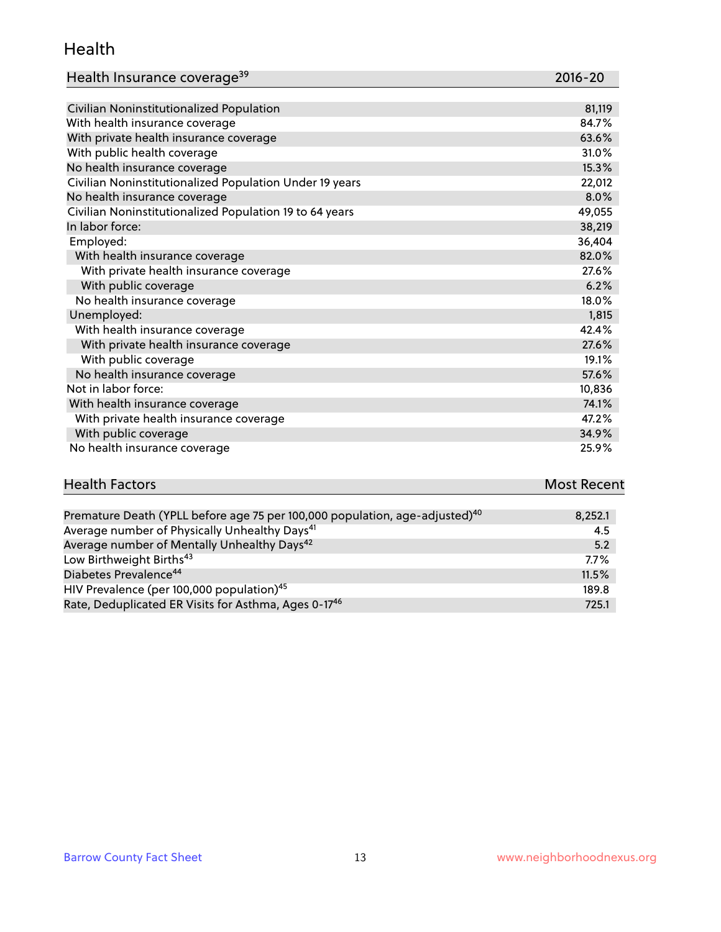#### Health

| Health Insurance coverage <sup>39</sup> | 2016-20 |
|-----------------------------------------|---------|
|-----------------------------------------|---------|

| Civilian Noninstitutionalized Population                | 81,119 |
|---------------------------------------------------------|--------|
| With health insurance coverage                          | 84.7%  |
| With private health insurance coverage                  | 63.6%  |
| With public health coverage                             | 31.0%  |
| No health insurance coverage                            | 15.3%  |
| Civilian Noninstitutionalized Population Under 19 years | 22,012 |
| No health insurance coverage                            | 8.0%   |
| Civilian Noninstitutionalized Population 19 to 64 years | 49,055 |
| In labor force:                                         | 38,219 |
| Employed:                                               | 36,404 |
| With health insurance coverage                          | 82.0%  |
| With private health insurance coverage                  | 27.6%  |
| With public coverage                                    | 6.2%   |
| No health insurance coverage                            | 18.0%  |
| Unemployed:                                             | 1,815  |
| With health insurance coverage                          | 42.4%  |
| With private health insurance coverage                  | 27.6%  |
| With public coverage                                    | 19.1%  |
| No health insurance coverage                            | 57.6%  |
| Not in labor force:                                     | 10,836 |
| With health insurance coverage                          | 74.1%  |
| With private health insurance coverage                  | 47.2%  |
| With public coverage                                    | 34.9%  |
| No health insurance coverage                            | 25.9%  |

# **Health Factors Most Recent** And The Control of the Control of The Control of The Control of The Control of The Control of The Control of The Control of The Control of The Control of The Control of The Control of The Contr

| Premature Death (YPLL before age 75 per 100,000 population, age-adjusted) <sup>40</sup> | 8,252.1 |
|-----------------------------------------------------------------------------------------|---------|
| Average number of Physically Unhealthy Days <sup>41</sup>                               | 4.5     |
| Average number of Mentally Unhealthy Days <sup>42</sup>                                 | 5.2     |
| Low Birthweight Births <sup>43</sup>                                                    | $7.7\%$ |
| Diabetes Prevalence <sup>44</sup>                                                       | 11.5%   |
| HIV Prevalence (per 100,000 population) <sup>45</sup>                                   | 189.8   |
| Rate, Deduplicated ER Visits for Asthma, Ages 0-17 <sup>46</sup>                        | 725.1   |